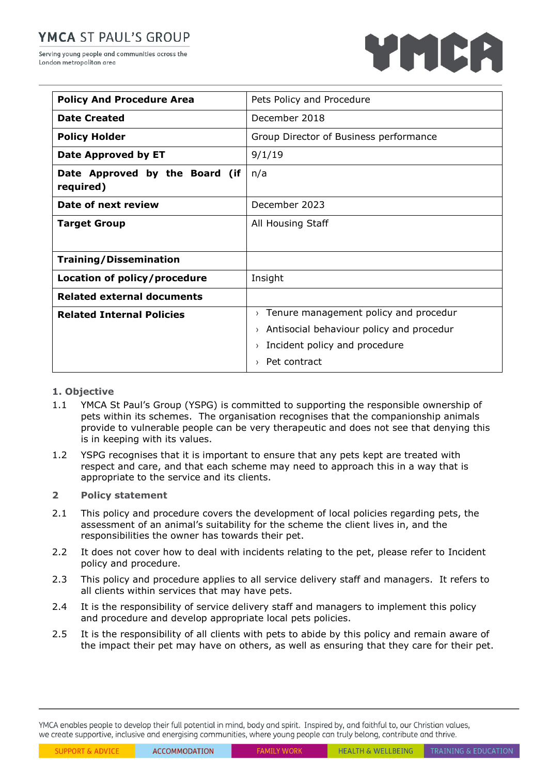# YMCA ST PAUL'S GROUP

Serving young people and communities across the London metropolitan area



| <b>Policy And Procedure Area</b>            | Pets Policy and Procedure                                    |
|---------------------------------------------|--------------------------------------------------------------|
| <b>Date Created</b>                         | December 2018                                                |
| <b>Policy Holder</b>                        | Group Director of Business performance                       |
| Date Approved by ET                         | 9/1/19                                                       |
| Date Approved by the Board (if<br>required) | n/a                                                          |
| Date of next review                         | December 2023                                                |
| <b>Target Group</b>                         | All Housing Staff                                            |
|                                             |                                                              |
| <b>Training/Dissemination</b>               |                                                              |
| Location of policy/procedure                | Insight                                                      |
| <b>Related external documents</b>           |                                                              |
| <b>Related Internal Policies</b>            | Tenure management policy and procedur<br>$\left( \right)$    |
|                                             | Antisocial behaviour policy and procedur<br>$\left( \right)$ |
|                                             | Incident policy and procedure<br>$\rightarrow$               |
|                                             | Pet contract<br>$\rightarrow$                                |

## **1. Objective**

- 1.1 YMCA St Paul's Group (YSPG) is committed to supporting the responsible ownership of pets within its schemes. The organisation recognises that the companionship animals provide to vulnerable people can be very therapeutic and does not see that denying this is in keeping with its values.
- 1.2 YSPG recognises that it is important to ensure that any pets kept are treated with respect and care, and that each scheme may need to approach this in a way that is appropriate to the service and its clients.

## **2 Policy statement**

- 2.1 This policy and procedure covers the development of local policies regarding pets, the assessment of an animal's suitability for the scheme the client lives in, and the responsibilities the owner has towards their pet.
- 2.2 It does not cover how to deal with incidents relating to the pet, please refer to Incident policy and procedure.
- 2.3 This policy and procedure applies to all service delivery staff and managers. It refers to all clients within services that may have pets.
- 2.4 It is the responsibility of service delivery staff and managers to implement this policy and procedure and develop appropriate local pets policies.
- 2.5 It is the responsibility of all clients with pets to abide by this policy and remain aware of the impact their pet may have on others, as well as ensuring that they care for their pet.

YMCA enables people to develop their full potential in mind, body and spirit. Inspired by, and faithful to, our Christian values, we create supportive, inclusive and energising communities, where young people can truly belong, contribute and thrive.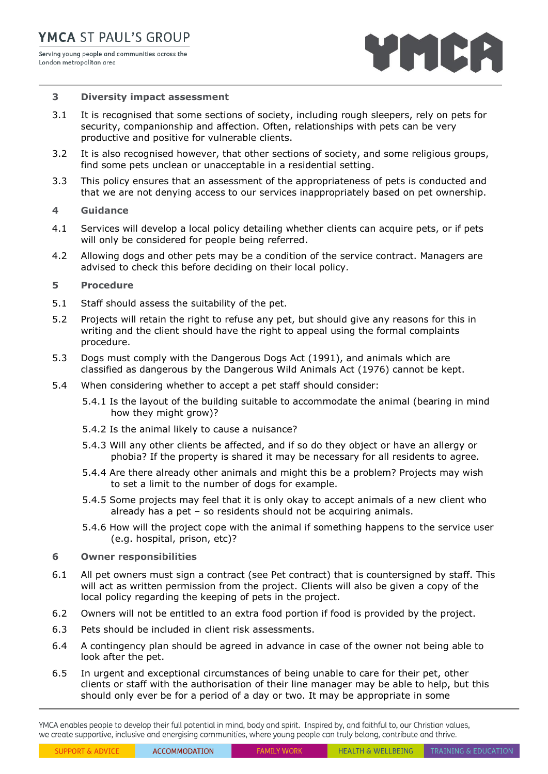

#### **3 Diversity impact assessment**

- 3.1 It is recognised that some sections of society, including rough sleepers, rely on pets for security, companionship and affection. Often, relationships with pets can be very productive and positive for vulnerable clients.
- 3.2 It is also recognised however, that other sections of society, and some religious groups, find some pets unclean or unacceptable in a residential setting.
- 3.3 This policy ensures that an assessment of the appropriateness of pets is conducted and that we are not denying access to our services inappropriately based on pet ownership.

#### **4 Guidance**

- 4.1 Services will develop a local policy detailing whether clients can acquire pets, or if pets will only be considered for people being referred.
- 4.2 Allowing dogs and other pets may be a condition of the service contract. Managers are advised to check this before deciding on their local policy.

### **5 Procedure**

- 5.1 Staff should assess the suitability of the pet.
- 5.2 Projects will retain the right to refuse any pet, but should give any reasons for this in writing and the client should have the right to appeal using the formal complaints procedure.
- 5.3 Dogs must comply with the Dangerous Dogs Act (1991), and animals which are classified as dangerous by the Dangerous Wild Animals Act (1976) cannot be kept.
- 5.4 When considering whether to accept a pet staff should consider:
	- 5.4.1 Is the layout of the building suitable to accommodate the animal (bearing in mind how they might grow)?
	- 5.4.2 Is the animal likely to cause a nuisance?
	- 5.4.3 Will any other clients be affected, and if so do they object or have an allergy or phobia? If the property is shared it may be necessary for all residents to agree.
	- 5.4.4 Are there already other animals and might this be a problem? Projects may wish to set a limit to the number of dogs for example.
	- 5.4.5 Some projects may feel that it is only okay to accept animals of a new client who already has a pet – so residents should not be acquiring animals.
	- 5.4.6 How will the project cope with the animal if something happens to the service user (e.g. hospital, prison, etc)?

#### **6 Owner responsibilities**

- 6.1 All pet owners must sign a contract (see Pet contract) that is countersigned by staff. This will act as written permission from the project. Clients will also be given a copy of the local policy regarding the keeping of pets in the project.
- 6.2 Owners will not be entitled to an extra food portion if food is provided by the project.
- 6.3 Pets should be included in client risk assessments.
- 6.4 A contingency plan should be agreed in advance in case of the owner not being able to look after the pet.
- 6.5 In urgent and exceptional circumstances of being unable to care for their pet, other clients or staff with the authorisation of their line manager may be able to help, but this should only ever be for a period of a day or two. It may be appropriate in some

YMCA enables people to develop their full potential in mind, body and spirit. Inspired by, and faithful to, our Christian values, we create supportive, inclusive and energising communities, where young people can truly belong, contribute and thrive.